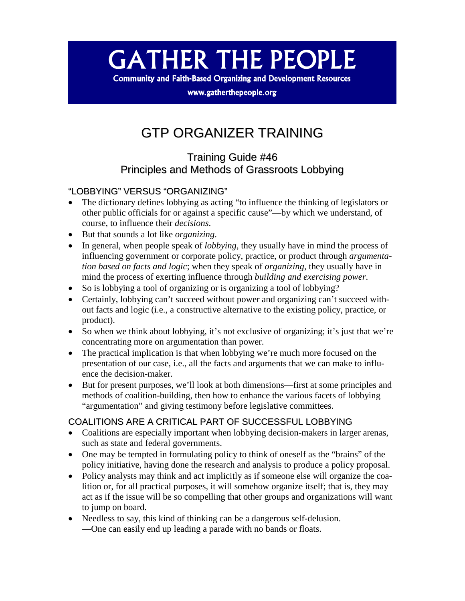# **GATHER THE PEOPLE**

**Community and Faith-Based Organizing and Development Resources** 

www.gatherthepeople.org

# GTP ORGANIZER TRAINING

# Training Guide #46 Principles and Methods of Grassroots Lobbying

# "LOBBYING" VERSUS "ORGANIZING"

- The dictionary defines lobbying as acting "to influence the thinking of legislators or other public officials for or against a specific cause"—by which we understand, of course, to influence their *decisions*.
- But that sounds a lot like *organizing*.
- In general, when people speak of *lobbying*, they usually have in mind the process of influencing government or corporate policy, practice, or product through *argumentation based on facts and logic*; when they speak of *organizing*, they usually have in mind the process of exerting influence through *building and exercising power*.
- So is lobbying a tool of organizing or is organizing a tool of lobbying?
- Certainly, lobbying can't succeed without power and organizing can't succeed without facts and logic (i.e., a constructive alternative to the existing policy, practice, or product).
- So when we think about lobbying, it's not exclusive of organizing; it's just that we're concentrating more on argumentation than power.
- The practical implication is that when lobbying we're much more focused on the presentation of our case, i.e., all the facts and arguments that we can make to influence the decision-maker.
- But for present purposes, we'll look at both dimensions—first at some principles and methods of coalition-building, then how to enhance the various facets of lobbying "argumentation" and giving testimony before legislative committees.

# COALITIONS ARE A CRITICAL PART OF SUCCESSFUL LOBBYING

- Coalitions are especially important when lobbying decision-makers in larger arenas, such as state and federal governments.
- One may be tempted in formulating policy to think of oneself as the "brains" of the policy initiative, having done the research and analysis to produce a policy proposal.
- Policy analysts may think and act implicitly as if someone else will organize the coalition or, for all practical purposes, it will somehow organize itself; that is, they may act as if the issue will be so compelling that other groups and organizations will want to jump on board.
- Needless to say, this kind of thinking can be a dangerous self-delusion. —One can easily end up leading a parade with no bands or floats.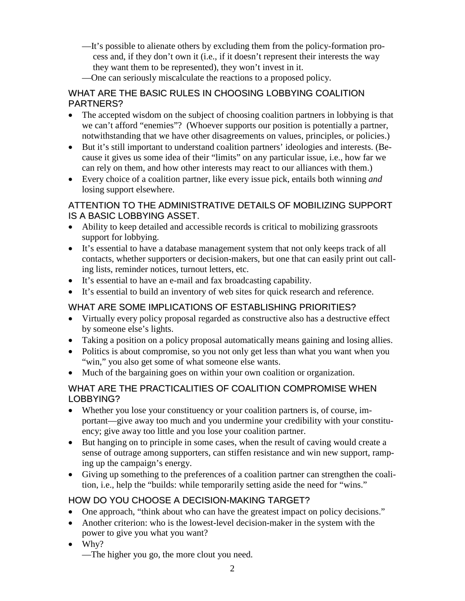- —It's possible to alienate others by excluding them from the policy-formation process and, if they don't own it (i.e., if it doesn't represent their interests the way they want them to be represented), they won't invest in it.
- —One can seriously miscalculate the reactions to a proposed policy.

#### WHAT ARE THE BASIC RULES IN CHOOSING LOBBYING COALITION PARTNERS?

- The accepted wisdom on the subject of choosing coalition partners in lobbying is that we can't afford "enemies"? (Whoever supports our position is potentially a partner, notwithstanding that we have other disagreements on values, principles, or policies.)
- But it's still important to understand coalition partners' ideologies and interests. (Because it gives us some idea of their "limits" on any particular issue, i.e., how far we can rely on them, and how other interests may react to our alliances with them.)
- Every choice of a coalition partner, like every issue pick, entails both winning *and* losing support elsewhere.

#### ATTENTION TO THE ADMINISTRATIVE DETAILS OF MOBILIZING SUPPORT IS A BASIC LOBBYING ASSET.

- Ability to keep detailed and accessible records is critical to mobilizing grassroots support for lobbying.
- It's essential to have a database management system that not only keeps track of all contacts, whether supporters or decision-makers, but one that can easily print out calling lists, reminder notices, turnout letters, etc.
- It's essential to have an e-mail and fax broadcasting capability.
- It's essential to build an inventory of web sites for quick research and reference.

#### WHAT ARE SOME IMPLICATIONS OF ESTABLISHING PRIORITIES?

- Virtually every policy proposal regarded as constructive also has a destructive effect by someone else's lights.
- Taking a position on a policy proposal automatically means gaining and losing allies.
- Politics is about compromise, so you not only get less than what you want when you "win," you also get some of what someone else wants.
- Much of the bargaining goes on within your own coalition or organization.

#### WHAT ARE THE PRACTICALITIES OF COALITION COMPROMISE WHEN LOBBYING?

- Whether you lose your constituency or your coalition partners is, of course, important—give away too much and you undermine your credibility with your constituency; give away too little and you lose your coalition partner.
- But hanging on to principle in some cases, when the result of caving would create a sense of outrage among supporters, can stiffen resistance and win new support, ramping up the campaign's energy.
- Giving up something to the preferences of a coalition partner can strengthen the coalition, i.e., help the "builds: while temporarily setting aside the need for "wins."

#### HOW DO YOU CHOOSE A DECISION-MAKING TARGET?

- One approach, "think about who can have the greatest impact on policy decisions."
- Another criterion: who is the lowest-level decision-maker in the system with the power to give you what you want?
- Why?

—The higher you go, the more clout you need.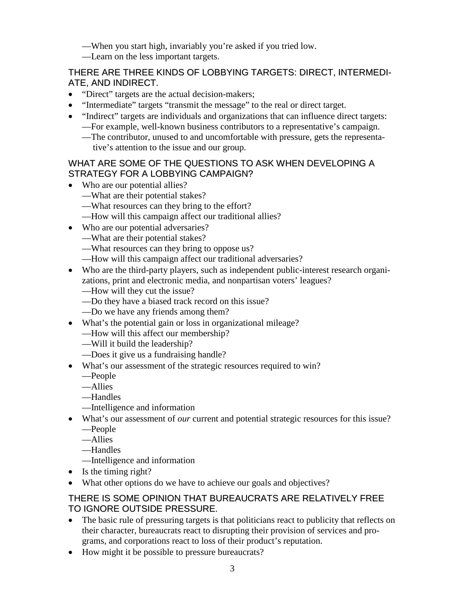—When you start high, invariably you're asked if you tried low.

—Learn on the less important targets.

# THERE ARE THREE KINDS OF LOBBYING TARGETS: DIRECT, INTERMEDI-ATE, AND INDIRECT.

- "Direct" targets are the actual decision-makers;
- "Intermediate" targets "transmit the message" to the real or direct target.
- "Indirect" targets are individuals and organizations that can influence direct targets: —For example, well-known business contributors to a representative's campaign.
	- —The contributor, unused to and uncomfortable with pressure, gets the representative's attention to the issue and our group.

#### WHAT ARE SOME OF THE QUESTIONS TO ASK WHEN DEVELOPING A STRATEGY FOR A LOBBYING CAMPAIGN?

- Who are our potential allies?
	- —What are their potential stakes?
	- —What resources can they bring to the effort?
	- —How will this campaign affect our traditional allies?
- Who are our potential adversaries?
	- —What are their potential stakes?
	- —What resources can they bring to oppose us?
	- —How will this campaign affect our traditional adversaries?
- Who are the third-party players, such as independent public-interest research organizations, print and electronic media, and nonpartisan voters' leagues?
	- —How will they cut the issue?
	- —Do they have a biased track record on this issue?
	- —Do we have any friends among them?
- What's the potential gain or loss in organizational mileage?
	- —How will this affect our membership?
	- —Will it build the leadership?
	- —Does it give us a fundraising handle?
- What's our assessment of the strategic resources required to win?
	- —People
	- —Allies
	- —Handles
	- —Intelligence and information
- What's our assessment of *our* current and potential strategic resources for this issue?
	- —People
	- —Allies
	- —Handles
	- —Intelligence and information
- Is the timing right?
- What other options do we have to achieve our goals and objectives?

#### THERE IS SOME OPINION THAT BUREAUCRATS ARE RELATIVELY FREE TO IGNORE OUTSIDE PRESSURE.

- The basic rule of pressuring targets is that politicians react to publicity that reflects on their character, bureaucrats react to disrupting their provision of services and programs, and corporations react to loss of their product's reputation.
- How might it be possible to pressure bureaucrats?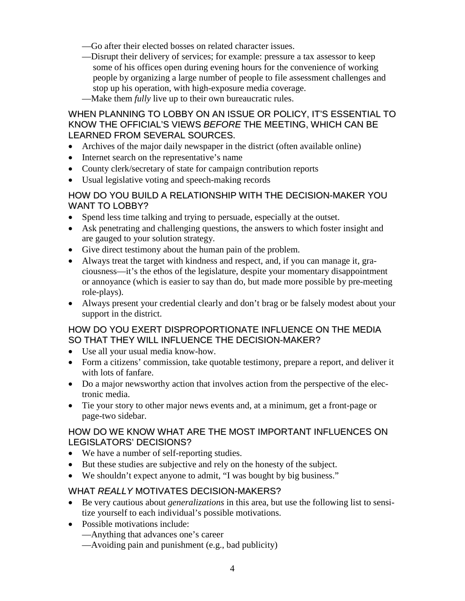- —Go after their elected bosses on related character issues.
- —Disrupt their delivery of services; for example: pressure a tax assessor to keep some of his offices open during evening hours for the convenience of working people by organizing a large number of people to file assessment challenges and stop up his operation, with high-exposure media coverage.
- —Make them *fully* live up to their own bureaucratic rules.

#### WHEN PLANNING TO LOBBY ON AN ISSUE OR POLICY, IT'S ESSENTIAL TO KNOW THE OFFICIAL'S VIEWS *BEFORE* THE MEETING, WHICH CAN BE LEARNED FROM SEVERAL SOURCES.

- Archives of the major daily newspaper in the district (often available online)
- Internet search on the representative's name
- County clerk/secretary of state for campaign contribution reports
- Usual legislative voting and speech-making records

#### HOW DO YOU BUILD A RELATIONSHIP WITH THE DECISION-MAKER YOU WANT TO LOBBY?

- Spend less time talking and trying to persuade, especially at the outset.
- Ask penetrating and challenging questions, the answers to which foster insight and are gauged to your solution strategy.
- Give direct testimony about the human pain of the problem.
- Always treat the target with kindness and respect, and, if you can manage it, graciousness—it's the ethos of the legislature, despite your momentary disappointment or annoyance (which is easier to say than do, but made more possible by pre-meeting role-plays).
- Always present your credential clearly and don't brag or be falsely modest about your support in the district.

#### HOW DO YOU EXERT DISPROPORTIONATE INFLUENCE ON THE MEDIA SO THAT THEY WILL INFLUENCE THE DECISION-MAKER?

- Use all your usual media know-how.
- Form a citizens' commission, take quotable testimony, prepare a report, and deliver it with lots of fanfare.
- Do a major newsworthy action that involves action from the perspective of the electronic media.
- Tie your story to other major news events and, at a minimum, get a front-page or page-two sidebar.

#### HOW DO WE KNOW WHAT ARE THE MOST IMPORTANT INFLUENCES ON LEGISLATORS' DECISIONS?

- We have a number of self-reporting studies.
- But these studies are subjective and rely on the honesty of the subject.
- We shouldn't expect anyone to admit, "I was bought by big business."

# WHAT *REALLY* MOTIVATES DECISION-MAKERS?

- Be very cautious about *generalizations* in this area, but use the following list to sensitize yourself to each individual's possible motivations.
- Possible motivations include:
	- —Anything that advances one's career
	- —Avoiding pain and punishment (e.g., bad publicity)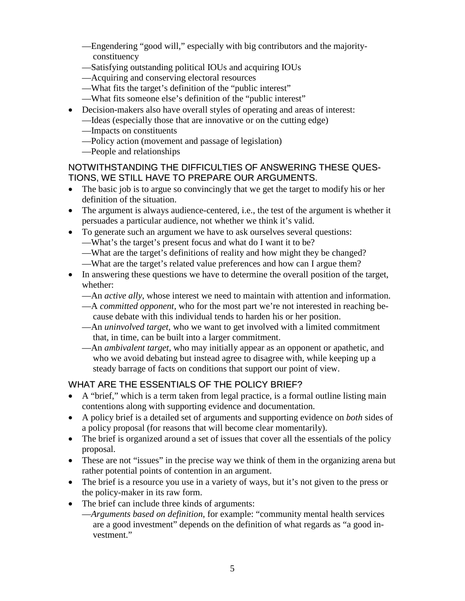- —Engendering "good will," especially with big contributors and the majorityconstituency
- —Satisfying outstanding political IOUs and acquiring IOUs
- —Acquiring and conserving electoral resources
- —What fits the target's definition of the "public interest"
- —What fits someone else's definition of the "public interest"
- Decision-makers also have overall styles of operating and areas of interest:
	- —Ideas (especially those that are innovative or on the cutting edge)
		- —Impacts on constituents
		- —Policy action (movement and passage of legislation)
		- —People and relationships

#### NOTWITHSTANDING THE DIFFICULTIES OF ANSWERING THESE QUES-TIONS, WE STILL HAVE TO PREPARE OUR ARGUMENTS.

- The basic job is to argue so convincingly that we get the target to modify his or her definition of the situation.
- The argument is always audience-centered, i.e., the test of the argument is whether it persuades a particular audience, not whether we think it's valid.
- To generate such an argument we have to ask ourselves several questions:
	- —What's the target's present focus and what do I want it to be?
	- —What are the target's definitions of reality and how might they be changed?
	- —What are the target's related value preferences and how can I argue them?
- In answering these questions we have to determine the overall position of the target, whether:
	- —An *active ally*, whose interest we need to maintain with attention and information.
	- —A *committed opponent*, who for the most part we're not interested in reaching because debate with this individual tends to harden his or her position.
	- —An *uninvolved target*, who we want to get involved with a limited commitment that, in time, can be built into a larger commitment.
	- —An *ambivalent target*, who may initially appear as an opponent or apathetic, and who we avoid debating but instead agree to disagree with, while keeping up a steady barrage of facts on conditions that support our point of view.

# WHAT ARE THE ESSENTIALS OF THE POLICY BRIEF?

- A "brief," which is a term taken from legal practice, is a formal outline listing main contentions along with supporting evidence and documentation.
- A policy brief is a detailed set of arguments and supporting evidence on *both* sides of a policy proposal (for reasons that will become clear momentarily).
- The brief is organized around a set of issues that cover all the essentials of the policy proposal.
- These are not "issues" in the precise way we think of them in the organizing arena but rather potential points of contention in an argument.
- The brief is a resource you use in a variety of ways, but it's not given to the press or the policy-maker in its raw form.
- The brief can include three kinds of arguments:
	- —*Arguments based on definition*, for example: "community mental health services are a good investment" depends on the definition of what regards as "a good investment."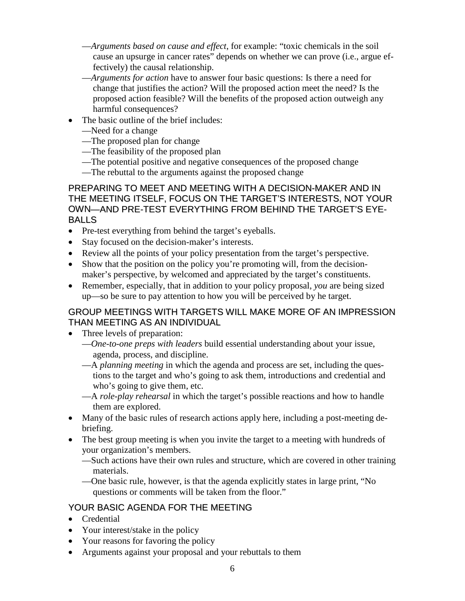- —*Arguments based on cause and effect*, for example: "toxic chemicals in the soil cause an upsurge in cancer rates" depends on whether we can prove (i.e., argue effectively) the causal relationship.
- —*Arguments for action* have to answer four basic questions: Is there a need for change that justifies the action? Will the proposed action meet the need? Is the proposed action feasible? Will the benefits of the proposed action outweigh any harmful consequences?
- The basic outline of the brief includes:
	- —Need for a change
	- —The proposed plan for change
	- —The feasibility of the proposed plan
	- —The potential positive and negative consequences of the proposed change
	- —The rebuttal to the arguments against the proposed change

PREPARING TO MEET AND MEETING WITH A DECISION-MAKER AND IN THE MEETING ITSELF, FOCUS ON THE TARGET'S INTERESTS, NOT YOUR OWN—AND PRE-TEST EVERYTHING FROM BEHIND THE TARGET'S EYE-BALLS

- Pre-test everything from behind the target's eyeballs.
- Stay focused on the decision-maker's interests.
- Review all the points of your policy presentation from the target's perspective.
- Show that the position on the policy you're promoting will, from the decisionmaker's perspective, by welcomed and appreciated by the target's constituents.
- Remember, especially, that in addition to your policy proposal, *you* are being sized up—so be sure to pay attention to how you will be perceived by he target.

#### GROUP MEETINGS WITH TARGETS WILL MAKE MORE OF AN IMPRESSION THAN MEETING AS AN INDIVIDUAL

- Three levels of preparation:
	- —*One-to-one preps with leaders* build essential understanding about your issue, agenda, process, and discipline.
	- —A *planning meeting* in which the agenda and process are set, including the questions to the target and who's going to ask them, introductions and credential and who's going to give them, etc.
	- —A *role-play rehearsal* in which the target's possible reactions and how to handle them are explored.
- Many of the basic rules of research actions apply here, including a post-meeting debriefing.
- The best group meeting is when you invite the target to a meeting with hundreds of your organization's members.
	- —Such actions have their own rules and structure, which are covered in other training materials.
	- —One basic rule, however, is that the agenda explicitly states in large print, "No questions or comments will be taken from the floor."

#### YOUR BASIC AGENDA FOR THE MEETING

- Credential
- Your interest/stake in the policy
- Your reasons for favoring the policy
- Arguments against your proposal and your rebuttals to them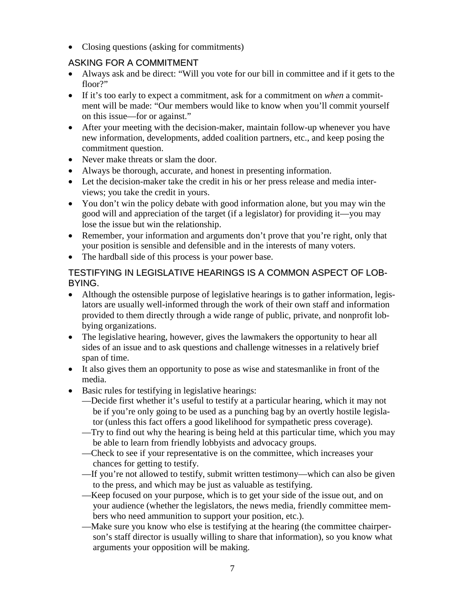• Closing questions (asking for commitments)

# ASKING FOR A COMMITMENT

- Always ask and be direct: "Will you vote for our bill in committee and if it gets to the floor?"
- If it's too early to expect a commitment, ask for a commitment on *when* a commitment will be made: "Our members would like to know when you'll commit yourself on this issue—for or against."
- After your meeting with the decision-maker, maintain follow-up whenever you have new information, developments, added coalition partners, etc., and keep posing the commitment question.
- Never make threats or slam the door.
- Always be thorough, accurate, and honest in presenting information.
- Let the decision-maker take the credit in his or her press release and media interviews; you take the credit in yours.
- You don't win the policy debate with good information alone, but you may win the good will and appreciation of the target (if a legislator) for providing it—you may lose the issue but win the relationship.
- Remember, your information and arguments don't prove that you're right, only that your position is sensible and defensible and in the interests of many voters.
- The hardball side of this process is your power base.

#### TESTIFYING IN LEGISLATIVE HEARINGS IS A COMMON ASPECT OF LOB-BYING.

- Although the ostensible purpose of legislative hearings is to gather information, legislators are usually well-informed through the work of their own staff and information provided to them directly through a wide range of public, private, and nonprofit lobbying organizations.
- The legislative hearing, however, gives the lawmakers the opportunity to hear all sides of an issue and to ask questions and challenge witnesses in a relatively brief span of time.
- It also gives them an opportunity to pose as wise and statesmanlike in front of the media.
- Basic rules for testifying in legislative hearings:
	- —Decide first whether it's useful to testify at a particular hearing, which it may not be if you're only going to be used as a punching bag by an overtly hostile legislator (unless this fact offers a good likelihood for sympathetic press coverage).
	- —Try to find out why the hearing is being held at this particular time, which you may be able to learn from friendly lobbyists and advocacy groups.
	- —Check to see if your representative is on the committee, which increases your chances for getting to testify.
	- —If you're not allowed to testify, submit written testimony—which can also be given to the press, and which may be just as valuable as testifying.
	- —Keep focused on your purpose, which is to get your side of the issue out, and on your audience (whether the legislators, the news media, friendly committee members who need ammunition to support your position, etc.).
	- —Make sure you know who else is testifying at the hearing (the committee chairperson's staff director is usually willing to share that information), so you know what arguments your opposition will be making.